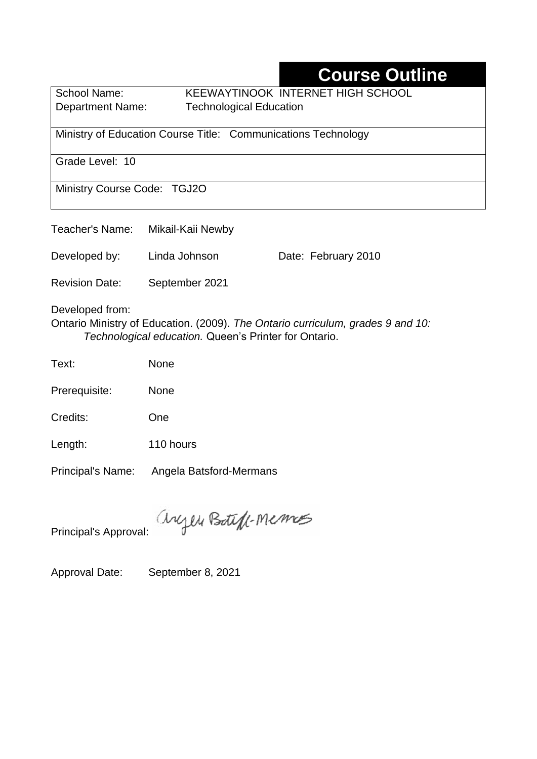## **Course Outline**

School Name: KEEWAYTINOOK INTERNET HIGH SCHOOL Department Name:Technological Education

Ministry of Education Course Title:Communications Technology

Grade Level: 10

Ministry Course Code: TGJ2O

| Teacher's Name:       | Mikail-Kaii Newby |                     |
|-----------------------|-------------------|---------------------|
| Developed by:         | Linda Johnson     | Date: February 2010 |
| <b>Revision Date:</b> | September 2021    |                     |

Developed from:

Ontario Ministry of Education. (2009). *The Ontario curriculum, grades 9 and 10: Technological education.* Queen's Printer for Ontario.

| Text: | None |
|-------|------|
|       |      |

Prerequisite: None

Credits: One

Length: 110 hours

Principal's Name: Angela Batsford-Mermans

anyen Boteff-Memos

Principal's Approval:

Approval Date: September 8, 2021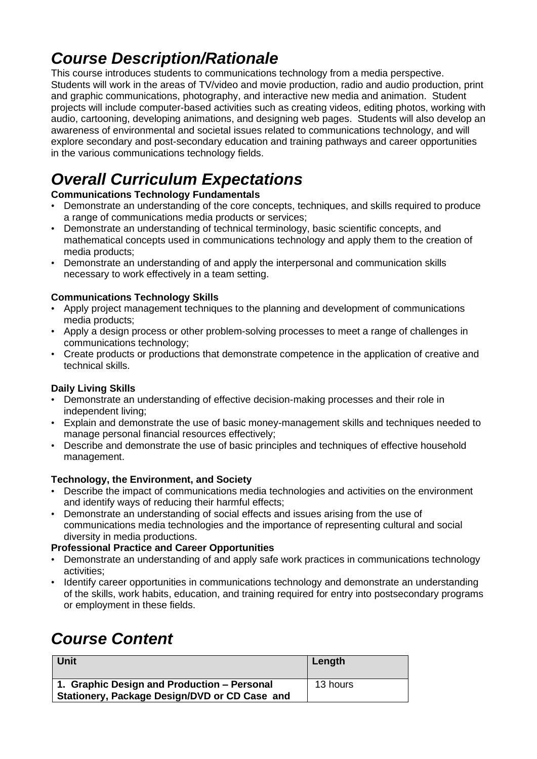## *Course Description/Rationale*

This course introduces students to communications technology from a media perspective. Students will work in the areas of TV/video and movie production, radio and audio production, print and graphic communications, photography, and interactive new media and animation. Student projects will include computer-based activities such as creating videos, editing photos, working with audio, cartooning, developing animations, and designing web pages. Students will also develop an awareness of environmental and societal issues related to communications technology, and will explore secondary and post-secondary education and training pathways and career opportunities in the various communications technology fields.

# *Overall Curriculum Expectations*

#### **Communications Technology Fundamentals**

- Demonstrate an understanding of the core concepts, techniques, and skills required to produce a range of communications media products or services;
- Demonstrate an understanding of technical terminology, basic scientific concepts, and mathematical concepts used in communications technology and apply them to the creation of media products;
- Demonstrate an understanding of and apply the interpersonal and communication skills necessary to work effectively in a team setting.

#### **Communications Technology Skills**

- Apply project management techniques to the planning and development of communications media products;
- Apply a design process or other problem-solving processes to meet a range of challenges in communications technology;
- Create products or productions that demonstrate competence in the application of creative and technical skills.

#### **Daily Living Skills**

- Demonstrate an understanding of effective decision-making processes and their role in independent living;
- Explain and demonstrate the use of basic money-management skills and techniques needed to manage personal financial resources effectively;
- Describe and demonstrate the use of basic principles and techniques of effective household management.

#### **Technology, the Environment, and Society**

- Describe the impact of communications media technologies and activities on the environment and identify ways of reducing their harmful effects;
- Demonstrate an understanding of social effects and issues arising from the use of communications media technologies and the importance of representing cultural and social diversity in media productions.

#### **Professional Practice and Career Opportunities**

- Demonstrate an understanding of and apply safe work practices in communications technology activities;
- Identify career opportunities in communications technology and demonstrate an understanding of the skills, work habits, education, and training required for entry into postsecondary programs or employment in these fields.

# *Course Content*

| <b>Unit</b>                                                                                  | Length   |
|----------------------------------------------------------------------------------------------|----------|
| 1. Graphic Design and Production – Personal<br>Stationery, Package Design/DVD or CD Case and | 13 hours |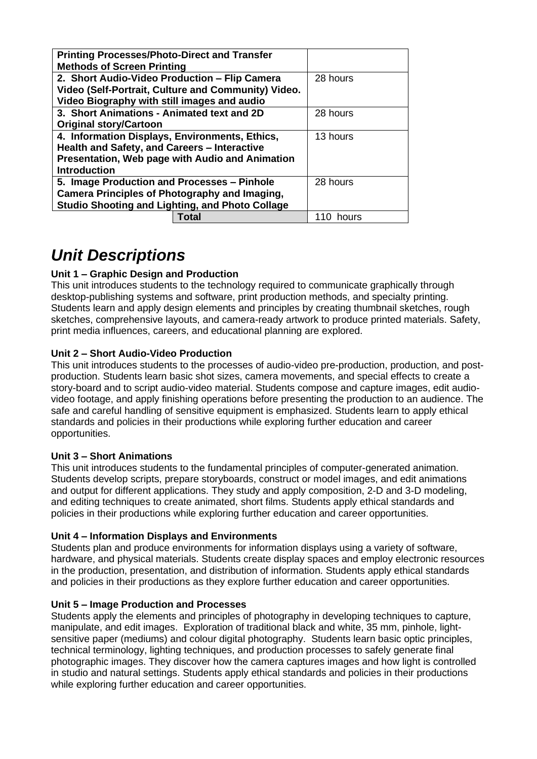| <b>Printing Processes/Photo-Direct and Transfer</b><br><b>Methods of Screen Printing</b>                                                                                 |           |
|--------------------------------------------------------------------------------------------------------------------------------------------------------------------------|-----------|
| 2. Short Audio-Video Production - Flip Camera<br>Video (Self-Portrait, Culture and Community) Video.<br>Video Biography with still images and audio                      | 28 hours  |
| 3. Short Animations - Animated text and 2D<br><b>Original story/Cartoon</b>                                                                                              | 28 hours  |
| 4. Information Displays, Environments, Ethics,<br>Health and Safety, and Careers - Interactive<br>Presentation, Web page with Audio and Animation<br><b>Introduction</b> | 13 hours  |
| 5. Image Production and Processes - Pinhole<br>Camera Principles of Photography and Imaging,<br><b>Studio Shooting and Lighting, and Photo Collage</b>                   | 28 hours  |
| Total                                                                                                                                                                    | 110 hours |

### *Unit Descriptions*

#### **Unit 1 – Graphic Design and Production**

This unit introduces students to the technology required to communicate graphically through desktop-publishing systems and software, print production methods, and specialty printing. Students learn and apply design elements and principles by creating thumbnail sketches, rough sketches, comprehensive layouts, and camera-ready artwork to produce printed materials. Safety, print media influences, careers, and educational planning are explored.

#### **Unit 2 – Short Audio-Video Production**

This unit introduces students to the processes of audio-video pre-production, production, and postproduction. Students learn basic shot sizes, camera movements, and special effects to create a story-board and to script audio-video material. Students compose and capture images, edit audiovideo footage, and apply finishing operations before presenting the production to an audience. The safe and careful handling of sensitive equipment is emphasized. Students learn to apply ethical standards and policies in their productions while exploring further education and career opportunities.

#### **Unit 3 – Short Animations**

This unit introduces students to the fundamental principles of computer-generated animation. Students develop scripts, prepare storyboards, construct or model images, and edit animations and output for different applications. They study and apply composition, 2-D and 3-D modeling, and editing techniques to create animated, short films. Students apply ethical standards and policies in their productions while exploring further education and career opportunities.

#### **Unit 4 – Information Displays and Environments**

Students plan and produce environments for information displays using a variety of software, hardware, and physical materials. Students create display spaces and employ electronic resources in the production, presentation, and distribution of information. Students apply ethical standards and policies in their productions as they explore further education and career opportunities.

#### **Unit 5 – Image Production and Processes**

Students apply the elements and principles of photography in developing techniques to capture, manipulate, and edit images. Exploration of traditional black and white, 35 mm, pinhole, lightsensitive paper (mediums) and colour digital photography. Students learn basic optic principles, technical terminology, lighting techniques, and production processes to safely generate final photographic images. They discover how the camera captures images and how light is controlled in studio and natural settings. Students apply ethical standards and policies in their productions while exploring further education and career opportunities.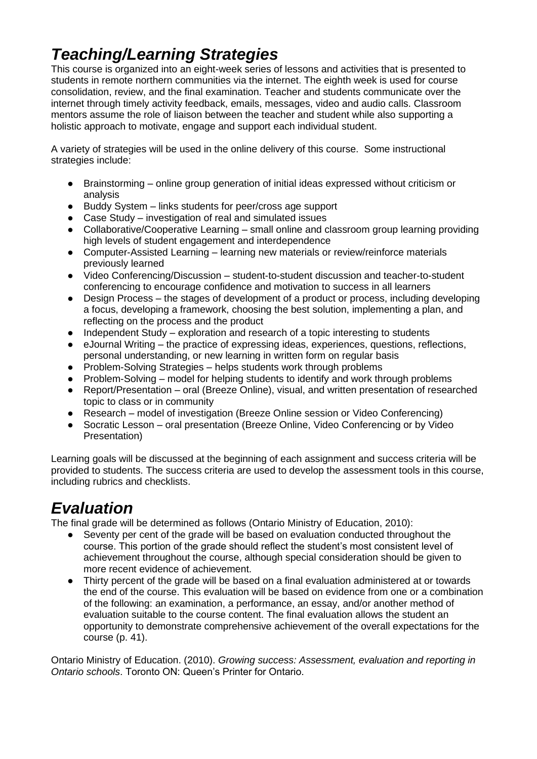## *Teaching/Learning Strategies*

This course is organized into an eight-week series of lessons and activities that is presented to students in remote northern communities via the internet. The eighth week is used for course consolidation, review, and the final examination. Teacher and students communicate over the internet through timely activity feedback, emails, messages, video and audio calls. Classroom mentors assume the role of liaison between the teacher and student while also supporting a holistic approach to motivate, engage and support each individual student.

A variety of strategies will be used in the online delivery of this course. Some instructional strategies include:

- Brainstorming online group generation of initial ideas expressed without criticism or analysis
- Buddy System links students for peer/cross age support
- Case Study investigation of real and simulated issues
- Collaborative/Cooperative Learning small online and classroom group learning providing high levels of student engagement and interdependence
- Computer-Assisted Learning learning new materials or review/reinforce materials previously learned
- Video Conferencing/Discussion student-to-student discussion and teacher-to-student conferencing to encourage confidence and motivation to success in all learners
- Design Process the stages of development of a product or process, including developing a focus, developing a framework, choosing the best solution, implementing a plan, and reflecting on the process and the product
- Independent Study exploration and research of a topic interesting to students
- $\bullet$  eJournal Writing the practice of expressing ideas, experiences, questions, reflections, personal understanding, or new learning in written form on regular basis
- Problem-Solving Strategies helps students work through problems<br>● Problem-Solving model for helping students to identify and work the
- Problem-Solving model for helping students to identify and work through problems
- Report/Presentation oral (Breeze Online), visual, and written presentation of researched topic to class or in community
- Research model of investigation (Breeze Online session or Video Conferencing)
- Socratic Lesson oral presentation (Breeze Online, Video Conferencing or by Video Presentation)

Learning goals will be discussed at the beginning of each assignment and success criteria will be provided to students. The success criteria are used to develop the assessment tools in this course, including rubrics and checklists.

### *Evaluation*

The final grade will be determined as follows (Ontario Ministry of Education, 2010):

- Seventy per cent of the grade will be based on evaluation conducted throughout the course. This portion of the grade should reflect the student's most consistent level of achievement throughout the course, although special consideration should be given to more recent evidence of achievement.
- Thirty percent of the grade will be based on a final evaluation administered at or towards the end of the course. This evaluation will be based on evidence from one or a combination of the following: an examination, a performance, an essay, and/or another method of evaluation suitable to the course content. The final evaluation allows the student an opportunity to demonstrate comprehensive achievement of the overall expectations for the course (p. 41).

Ontario Ministry of Education. (2010). *Growing success: Assessment, evaluation and reporting in Ontario schools*. Toronto ON: Queen's Printer for Ontario.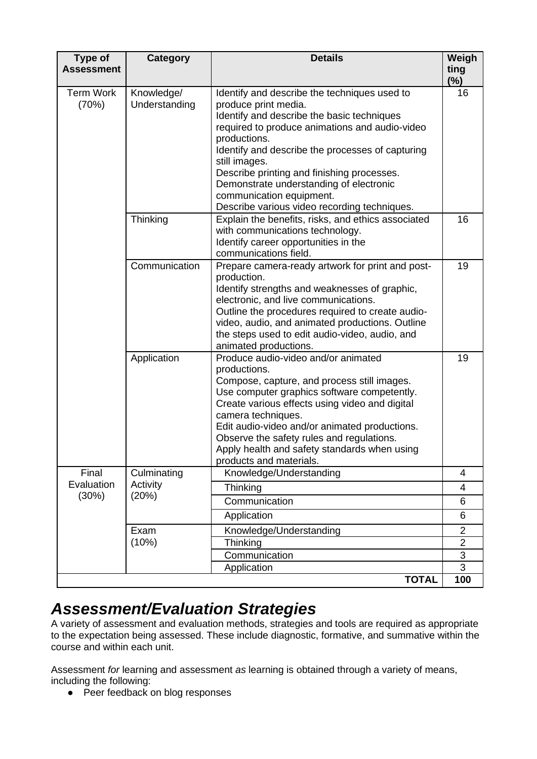| <b>Type of</b><br><b>Assessment</b> | <b>Category</b>             | <b>Details</b>                                                                                                                                                                                                                                                                                                                                                                                                                 | Weigh<br>ting  |
|-------------------------------------|-----------------------------|--------------------------------------------------------------------------------------------------------------------------------------------------------------------------------------------------------------------------------------------------------------------------------------------------------------------------------------------------------------------------------------------------------------------------------|----------------|
|                                     |                             |                                                                                                                                                                                                                                                                                                                                                                                                                                | $(\%)$         |
| <b>Term Work</b><br>(70%)           | Knowledge/<br>Understanding | Identify and describe the techniques used to<br>produce print media.<br>Identify and describe the basic techniques<br>required to produce animations and audio-video<br>productions.<br>Identify and describe the processes of capturing<br>still images.<br>Describe printing and finishing processes.<br>Demonstrate understanding of electronic<br>communication equipment.<br>Describe various video recording techniques. | 16             |
|                                     | Thinking                    | Explain the benefits, risks, and ethics associated<br>with communications technology.<br>Identify career opportunities in the<br>communications field.                                                                                                                                                                                                                                                                         | 16             |
|                                     | Communication               | Prepare camera-ready artwork for print and post-<br>production.<br>Identify strengths and weaknesses of graphic,<br>electronic, and live communications.<br>Outline the procedures required to create audio-<br>video, audio, and animated productions. Outline<br>the steps used to edit audio-video, audio, and<br>animated productions.                                                                                     | 19             |
|                                     | Application                 | Produce audio-video and/or animated<br>productions.<br>Compose, capture, and process still images.<br>Use computer graphics software competently.<br>Create various effects using video and digital<br>camera techniques.<br>Edit audio-video and/or animated productions.<br>Observe the safety rules and regulations.<br>Apply health and safety standards when using<br>products and materials.                             | 19             |
| Final                               | Culminating                 | Knowledge/Understanding                                                                                                                                                                                                                                                                                                                                                                                                        | 4              |
| Evaluation                          | Activity                    | Thinking                                                                                                                                                                                                                                                                                                                                                                                                                       | 4              |
| (30%)                               | (20%)                       | Communication                                                                                                                                                                                                                                                                                                                                                                                                                  | 6              |
|                                     |                             | Application                                                                                                                                                                                                                                                                                                                                                                                                                    | 6              |
|                                     | Exam                        | Knowledge/Understanding                                                                                                                                                                                                                                                                                                                                                                                                        | $\overline{2}$ |
|                                     | (10%)                       | Thinking                                                                                                                                                                                                                                                                                                                                                                                                                       | $\overline{2}$ |
|                                     |                             | Communication                                                                                                                                                                                                                                                                                                                                                                                                                  | $\overline{3}$ |
|                                     |                             | Application                                                                                                                                                                                                                                                                                                                                                                                                                    | $\overline{3}$ |
|                                     |                             | <b>TOTAL</b>                                                                                                                                                                                                                                                                                                                                                                                                                   | 100            |

### *Assessment/Evaluation Strategies*

A variety of assessment and evaluation methods, strategies and tools are required as appropriate to the expectation being assessed. These include diagnostic, formative, and summative within the course and within each unit.

Assessment *for* learning and assessment *as* learning is obtained through a variety of means, including the following:

● Peer feedback on blog responses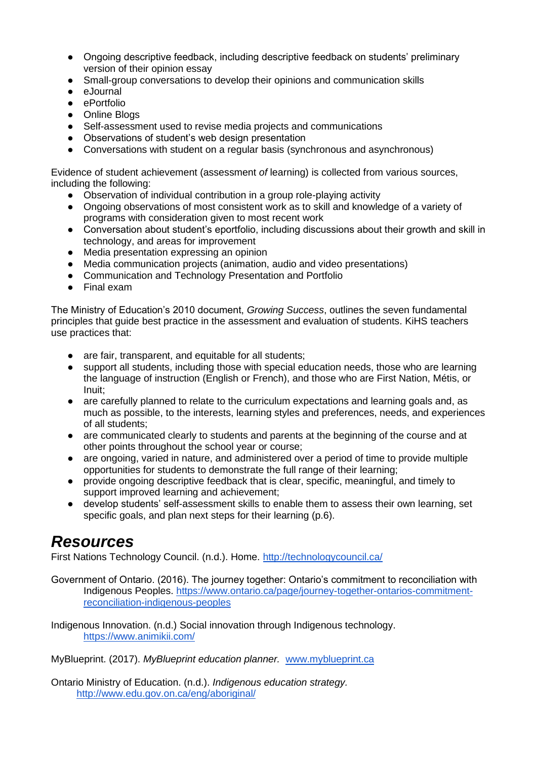- Ongoing descriptive feedback, including descriptive feedback on students' preliminary version of their opinion essay
- Small-group conversations to develop their opinions and communication skills
- eJournal
- ePortfolio
- Online Blogs
- Self-assessment used to revise media projects and communications
- Observations of student's web design presentation
- Conversations with student on a regular basis (synchronous and asynchronous)

Evidence of student achievement (assessment *of* learning) is collected from various sources, including the following:

- Observation of individual contribution in a group role-playing activity
- Ongoing observations of most consistent work as to skill and knowledge of a variety of programs with consideration given to most recent work
- Conversation about student's eportfolio, including discussions about their growth and skill in technology, and areas for improvement
- Media presentation expressing an opinion
- Media communication projects (animation, audio and video presentations)
- Communication and Technology Presentation and Portfolio
- Final exam

The Ministry of Education's 2010 document, *Growing Success*, outlines the seven fundamental principles that guide best practice in the assessment and evaluation of students. KiHS teachers use practices that:

- are fair, transparent, and equitable for all students;
- support all students, including those with special education needs, those who are learning the language of instruction (English or French), and those who are First Nation, Métis, or Inuit;
- are carefully planned to relate to the curriculum expectations and learning goals and, as much as possible, to the interests, learning styles and preferences, needs, and experiences of all students;
- are communicated clearly to students and parents at the beginning of the course and at other points throughout the school year or course;
- are ongoing, varied in nature, and administered over a period of time to provide multiple opportunities for students to demonstrate the full range of their learning;
- provide ongoing descriptive feedback that is clear, specific, meaningful, and timely to support improved learning and achievement;
- develop students' self-assessment skills to enable them to assess their own learning, set specific goals, and plan next steps for their learning (p.6).

### *Resources*

First Nations Technology Council. (n.d.). Home.<http://technologycouncil.ca/>

Government of Ontario. (2016). The journey together: Ontario's commitment to reconciliation with Indigenous Peoples. [https://www.ontario.ca/page/journey-together-ontarios-commitment](https://www.ontario.ca/page/journey-together-ontarios-commitment-reconciliation-indigenous-peoples)[reconciliation-indigenous-peoples](https://www.ontario.ca/page/journey-together-ontarios-commitment-reconciliation-indigenous-peoples)

Indigenous Innovation. (n.d.) Social innovation through Indigenous technology. <https://www.animikii.com/>

MyBlueprint. (2017). *MyBlueprint education planner.* [www.myblueprint.ca](http://www.myblueprint.ca/)

Ontario Ministry of Education. (n.d.). *Indigenous education strategy.* <http://www.edu.gov.on.ca/eng/aboriginal/>